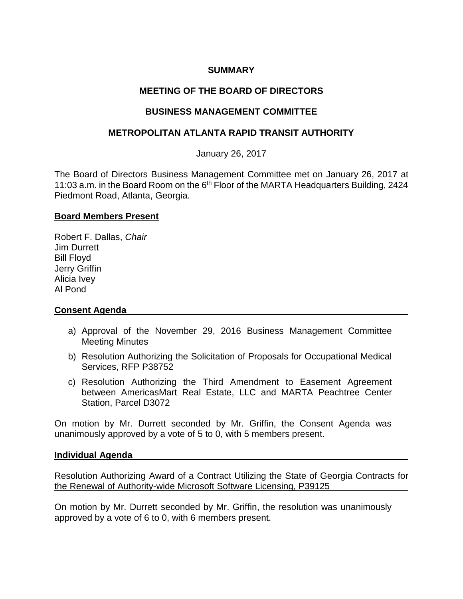## **SUMMARY**

# **MEETING OF THE BOARD OF DIRECTORS**

## **BUSINESS MANAGEMENT COMMITTEE**

## **METROPOLITAN ATLANTA RAPID TRANSIT AUTHORITY**

January 26, 2017

The Board of Directors Business Management Committee met on January 26, 2017 at 11:03 a.m. in the Board Room on the 6<sup>th</sup> Floor of the MARTA Headquarters Building, 2424 Piedmont Road, Atlanta, Georgia.

## **Board Members Present**

Robert F. Dallas, *Chair* Jim Durrett Bill Floyd Jerry Griffin Alicia Ivey Al Pond

## **Consent Agenda**

- a) Approval of the November 29, 2016 Business Management Committee Meeting Minutes
- b) Resolution Authorizing the Solicitation of Proposals for Occupational Medical Services, RFP P38752
- c) Resolution Authorizing the Third Amendment to Easement Agreement between AmericasMart Real Estate, LLC and MARTA Peachtree Center Station, Parcel D3072

On motion by Mr. Durrett seconded by Mr. Griffin, the Consent Agenda was unanimously approved by a vote of 5 to 0, with 5 members present.

#### **Individual Agenda**

Resolution Authorizing Award of a Contract Utilizing the State of Georgia Contracts for the Renewal of Authority-wide Microsoft Software Licensing, P39125

On motion by Mr. Durrett seconded by Mr. Griffin, the resolution was unanimously approved by a vote of 6 to 0, with 6 members present.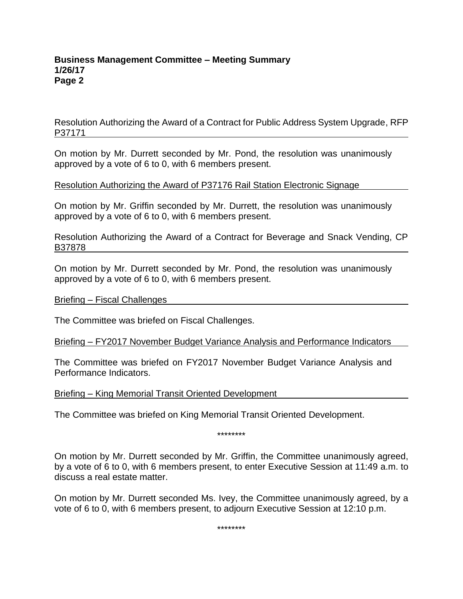## **Business Management Committee – Meeting Summary 1/26/17 Page 2**

Resolution Authorizing the Award of a Contract for Public Address System Upgrade, RFP P37171

On motion by Mr. Durrett seconded by Mr. Pond, the resolution was unanimously approved by a vote of 6 to 0, with 6 members present.

## Resolution Authorizing the Award of P37176 Rail Station Electronic Signage

On motion by Mr. Griffin seconded by Mr. Durrett, the resolution was unanimously approved by a vote of 6 to 0, with 6 members present.

Resolution Authorizing the Award of a Contract for Beverage and Snack Vending, CP B37878

On motion by Mr. Durrett seconded by Mr. Pond, the resolution was unanimously approved by a vote of 6 to 0, with 6 members present.

Briefing – Fiscal Challenges

The Committee was briefed on Fiscal Challenges.

#### Briefing – FY2017 November Budget Variance Analysis and Performance Indicators

The Committee was briefed on FY2017 November Budget Variance Analysis and Performance Indicators.

Briefing – King Memorial Transit Oriented Development

The Committee was briefed on King Memorial Transit Oriented Development.

\*\*\*\*\*\*\*\*

On motion by Mr. Durrett seconded by Mr. Griffin, the Committee unanimously agreed, by a vote of 6 to 0, with 6 members present, to enter Executive Session at 11:49 a.m. to discuss a real estate matter.

On motion by Mr. Durrett seconded Ms. Ivey, the Committee unanimously agreed, by a vote of 6 to 0, with 6 members present, to adjourn Executive Session at 12:10 p.m.

\*\*\*\*\*\*\*\*